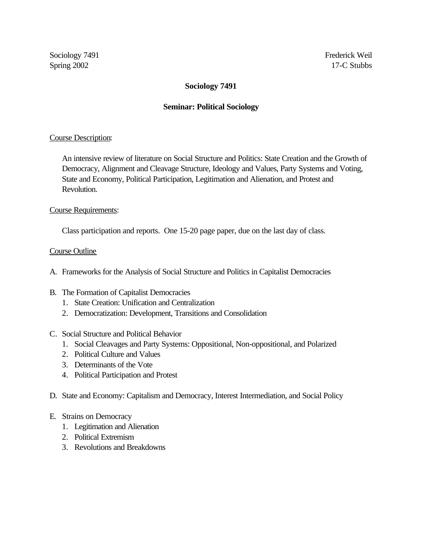Sociology 7491 Frederick Weil Spring 2002 17-C Stubbs

# **Sociology 7491**

## **Seminar: Political Sociology**

#### Course Description:

An intensive review of literature on Social Structure and Politics: State Creation and the Growth of Democracy, Alignment and Cleavage Structure, Ideology and Values, Party Systems and Voting, State and Economy, Political Participation, Legitimation and Alienation, and Protest and Revolution.

## Course Requirements:

Class participation and reports. One 15-20 page paper, due on the last day of class.

#### Course Outline

- A. Frameworks for the Analysis of Social Structure and Politics in Capitalist Democracies
- B. The Formation of Capitalist Democracies
	- 1. State Creation: Unification and Centralization
	- 2. Democratization: Development, Transitions and Consolidation

## C. Social Structure and Political Behavior

- 1. Social Cleavages and Party Systems: Oppositional, Non-oppositional, and Polarized
- 2. Political Culture and Values
- 3. Determinants of the Vote
- 4. Political Participation and Protest
- D. State and Economy: Capitalism and Democracy, Interest Intermediation, and Social Policy

#### E. Strains on Democracy

- 1. Legitimation and Alienation
- 2. Political Extremism
- 3. Revolutions and Breakdowns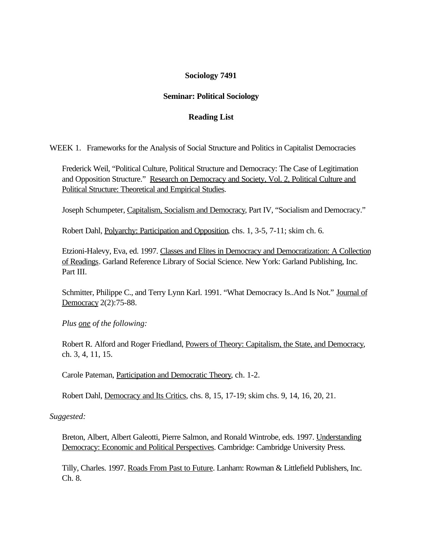# **Sociology 7491**

## **Seminar: Political Sociology**

# **Reading List**

WEEK 1. Frameworks for the Analysis of Social Structure and Politics in Capitalist Democracies

Frederick Weil, "Political Culture, Political Structure and Democracy: The Case of Legitimation and Opposition Structure." Research on Democracy and Society, Vol. 2, Political Culture and Political Structure: Theoretical and Empirical Studies.

Joseph Schumpeter, Capitalism, Socialism and Democracy, Part IV, "Socialism and Democracy."

Robert Dahl, Polyarchy: Participation and Opposition, chs. 1, 3-5, 7-11; skim ch. 6.

Etzioni-Halevy, Eva, ed. 1997. Classes and Elites in Democracy and Democratization: A Collection of Readings. Garland Reference Library of Social Science. New York: Garland Publishing, Inc. Part III.

Schmitter, Philippe C., and Terry Lynn Karl. 1991. "What Democracy Is..And Is Not." Journal of Democracy 2(2):75-88.

*Plus one of the following:*

Robert R. Alford and Roger Friedland, Powers of Theory: Capitalism, the State, and Democracy, ch. 3, 4, 11, 15.

Carole Pateman, Participation and Democratic Theory, ch. 1-2.

Robert Dahl, Democracy and Its Critics, chs. 8, 15, 17-19; skim chs. 9, 14, 16, 20, 21.

*Suggested:*

Breton, Albert, Albert Galeotti, Pierre Salmon, and Ronald Wintrobe, eds. 1997. Understanding Democracy: Economic and Political Perspectives. Cambridge: Cambridge University Press.

Tilly, Charles. 1997. Roads From Past to Future. Lanham: Rowman & Littlefield Publishers, Inc. Ch. 8.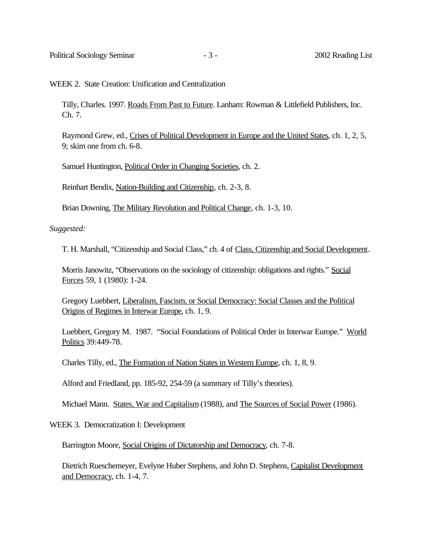WEEK 2. State Creation: Unification and Centralization

Tilly, Charles. 1997. Roads From Past to Future. Lanham: Rowman & Littlefield Publishers, Inc. Ch. 7.

Raymond Grew, ed., Crises of Political Development in Europe and the United States, ch. 1, 2, 5, 9; skim one from ch. 6-8.

Samuel Huntington, Political Order in Changing Societies, ch. 2.

Reinhart Bendix, Nation-Building and Citizenship, ch. 2-3, 8.

Brian Downing, The Military Revolution and Political Change, ch. 1-3, 10.

*Suggested:*

T. H. Marshall, "Citizenship and Social Class," ch. 4 of Class, Citizenship and Social Development.

Morris Janowitz, "Observations on the sociology of citizenship: obligations and rights." Social Forces 59, 1 (1980): 1-24.

Gregory Luebbert, Liberalism, Fascism, or Social Democracy: Social Classes and the Political Origins of Regimes in Interwar Europe, ch. 1, 9.

Luebbert, Gregory M. 1987. "Social Foundations of Political Order in Interwar Europe." World Politics 39:449-78.

Charles Tilly, ed., The Formation of Nation States in Western Europe, ch. 1, 8, 9.

Alford and Friedland, pp. 185-92, 254-59 (a summary of Tilly's theories).

Michael Mann. States, War and Capitalism (1988), and The Sources of Social Power (1986).

WEEK 3. Democratization I: Development

Barrington Moore, Social Origins of Dictatorship and Democracy, ch. 7-8.

Dietrich Rueschemeyer, Evelyne Huber Stephens, and John D. Stephens, Capitalist Development and Democracy, ch. 1-4, 7.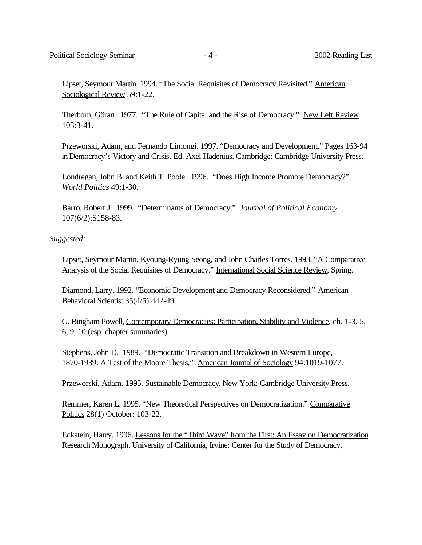Lipset, Seymour Martin. 1994. "The Social Requisites of Democracy Revisited." American Sociological Review 59:1-22.

Therborn, Göran. 1977. "The Rule of Capital and the Rise of Democracy." New Left Review 103:3-41.

Przeworski, Adam, and Fernando Limongi. 1997. "Democracy and Development." Pages 163-94 in Democracy's Victory and Crisis. Ed. Axel Hadenius. Cambridge: Cambridge University Press.

Londregan, John B. and Keith T. Poole. 1996. "Does High Income Promote Democracy?" *World Politics* 49:1-30.

Barro, Robert J. 1999. "Determinants of Democracy." *Journal of Political Economy* 107(6/2):S158-83.

*Suggested:*

Lipset, Seymour Martin, Kyoung-Ryung Seong, and John Charles Torres. 1993. "A Comparative Analysis of the Social Requisites of Democracy." International Social Science Review, Spring.

Diamond, Larry. 1992. "Economic Development and Democracy Reconsidered." American Behavioral Scientist 35(4/5):442-49.

G. Bingham Powell, Contemporary Democracies: Participation, Stability and Violence, ch. 1-3, 5, 6, 9, 10 (esp. chapter summaries).

Stephens, John D. 1989. "Democratic Transition and Breakdown in Western Europe, 1870-1939: A Test of the Moore Thesis." American Journal of Sociology 94:1019-1077.

Przeworski, Adam. 1995. Sustainable Democracy. New York: Cambridge University Press.

Remmer, Karen L. 1995. "New Theoretical Perspectives on Democratization." Comparative Politics 28(1) October: 103-22.

Eckstein, Harry. 1996. Lessons for the "Third Wave" from the First: An Essay on Democratization. Research Monograph. University of California, Irvine: Center for the Study of Democracy.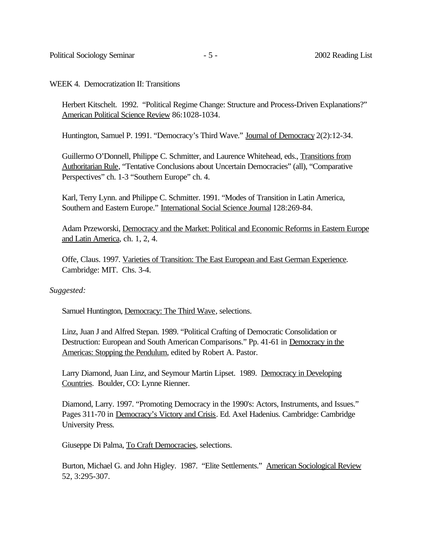#### WEEK 4. Democratization II: Transitions

Herbert Kitschelt. 1992. "Political Regime Change: Structure and Process-Driven Explanations?" American Political Science Review 86:1028-1034.

Huntington, Samuel P. 1991. "Democracy's Third Wave." Journal of Democracy 2(2):12-34.

Guillermo O'Donnell, Philippe C. Schmitter, and Laurence Whitehead, eds., Transitions from Authoritarian Rule, "Tentative Conclusions about Uncertain Democracies" (all), "Comparative Perspectives" ch. 1-3 "Southern Europe" ch. 4.

Karl, Terry Lynn. and Philippe C. Schmitter. 1991. "Modes of Transition in Latin America, Southern and Eastern Europe." International Social Science Journal 128:269-84.

Adam Przeworski, Democracy and the Market: Political and Economic Reforms in Eastern Europe and Latin America, ch. 1, 2, 4.

Offe, Claus. 1997. Varieties of Transition: The East European and East German Experience. Cambridge: MIT. Chs. 3-4.

#### *Suggested:*

Samuel Huntington, Democracy: The Third Wave, selections.

Linz, Juan J and Alfred Stepan. 1989. "Political Crafting of Democratic Consolidation or Destruction: European and South American Comparisons." Pp. 41-61 in Democracy in the Americas: Stopping the Pendulum, edited by Robert A. Pastor.

Larry Diamond, Juan Linz, and Seymour Martin Lipset. 1989. Democracy in Developing Countries. Boulder, CO: Lynne Rienner.

Diamond, Larry. 1997. "Promoting Democracy in the 1990's: Actors, Instruments, and Issues." Pages 311-70 in Democracy's Victory and Crisis. Ed. Axel Hadenius. Cambridge: Cambridge University Press.

Giuseppe Di Palma, To Craft Democracies, selections.

Burton, Michael G. and John Higley. 1987. "Elite Settlements." American Sociological Review 52, 3:295-307.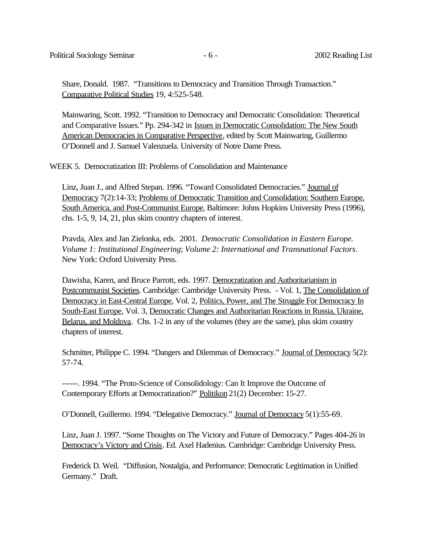Share, Donald. 1987. "Transitions to Democracy and Transition Through Transaction." Comparative Political Studies 19, 4:525-548.

Mainwaring, Scott. 1992. "Transition to Democracy and Democratic Consolidation: Theoretical and Comparative Issues." Pp. 294-342 in Issues in Democratic Consolidation: The New South American Democracies in Comparative Perspective, edited by Scott Mainwaring, Guillermo O'Donnell and J. Samuel Valenzuela. University of Notre Dame Press.

WEEK 5. Democratization III: Problems of Consolidation and Maintenance

Linz, Juan J., and Alfred Stepan. 1996. "Toward Consolidated Democracies." Journal of Democracy 7(2):14-33; Problems of Democratic Transition and Consolidation: Southern Europe, South America, and Post-Communist Europe, Baltimore: Johns Hopkins University Press (1996), chs. 1-5, 9, 14, 21, plus skim country chapters of interest.

Pravda, Alex and Jan Zielonka, eds. 2001. *Democratic Consolidation in Eastern Europe. Volume 1: Institutional Engineering*; *Volume 2: International and Transnational Factors*. New York: Oxford University Press.

Dawisha, Karen, and Bruce Parrott, eds. 1997. Democratization and Authoritarianism in Postcommunist Societies. Cambridge: Cambridge University Press. - Vol. 1, The Consolidation of Democracy in East-Central Europe, Vol. 2, Politics, Power, and The Struggle For Democracy In South-East Europe, Vol. 3, Democratic Changes and Authoritarian Reactions in Russia, Ukraine, Belarus, and Moldova. Chs. 1-2 in any of the volumes (they are the same), plus skim country chapters of interest.

Schmitter, Philippe C. 1994. "Dangers and Dilemmas of Democracy." Journal of Democracy 5(2): 57-74.

------. 1994. "The Proto-Science of Consolidology: Can It Improve the Outcome of Contemporary Efforts at Democratization?" Politikon 21(2) December: 15-27.

O'Donnell, Guillermo. 1994. "Delegative Democracy." Journal of Democracy 5(1):55-69.

Linz, Juan J. 1997. "Some Thoughts on The Victory and Future of Democracy." Pages 404-26 in Democracy's Victory and Crisis. Ed. Axel Hadenius. Cambridge: Cambridge University Press.

Frederick D. Weil. "Diffusion, Nostalgia, and Performance: Democratic Legitimation in Unified Germany." Draft.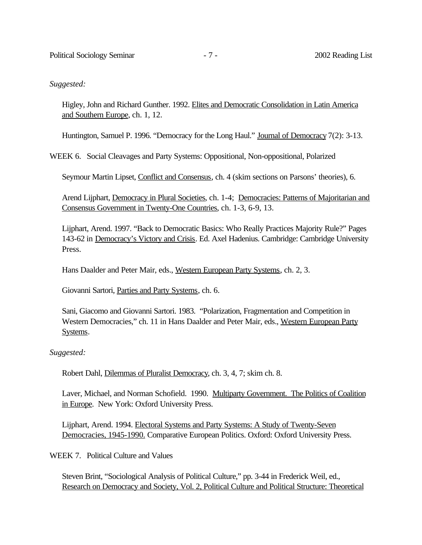## *Suggested:*

Higley, John and Richard Gunther. 1992. Elites and Democratic Consolidation in Latin America and Southern Europe, ch. 1, 12.

Huntington, Samuel P. 1996. "Democracy for the Long Haul." Journal of Democracy 7(2): 3-13.

WEEK 6. Social Cleavages and Party Systems: Oppositional, Non-oppositional, Polarized

Seymour Martin Lipset, Conflict and Consensus, ch. 4 (skim sections on Parsons' theories), 6.

Arend Lijphart, Democracy in Plural Societies, ch. 1-4; Democracies: Patterns of Majoritarian and Consensus Government in Twenty-One Countries, ch. 1-3, 6-9, 13.

Lijphart, Arend. 1997. "Back to Democratic Basics: Who Really Practices Majority Rule?" Pages 143-62 in Democracy's Victory and Crisis. Ed. Axel Hadenius. Cambridge: Cambridge University Press.

Hans Daalder and Peter Mair, eds., Western European Party Systems, ch. 2, 3.

Giovanni Sartori, Parties and Party Systems, ch. 6.

Sani, Giacomo and Giovanni Sartori. 1983. "Polarization, Fragmentation and Competition in Western Democracies," ch. 11 in Hans Daalder and Peter Mair, eds., Western European Party Systems.

#### *Suggested:*

Robert Dahl, Dilemmas of Pluralist Democracy, ch. 3, 4, 7; skim ch. 8.

Laver, Michael, and Norman Schofield. 1990. Multiparty Government. The Politics of Coalition in Europe. New York: Oxford University Press.

Lijphart, Arend. 1994. Electoral Systems and Party Systems: A Study of Twenty-Seven Democracies, 1945-1990. Comparative European Politics. Oxford: Oxford University Press.

WEEK 7. Political Culture and Values

Steven Brint, "Sociological Analysis of Political Culture," pp. 3-44 in Frederick Weil, ed., Research on Democracy and Society, Vol. 2, Political Culture and Political Structure: Theoretical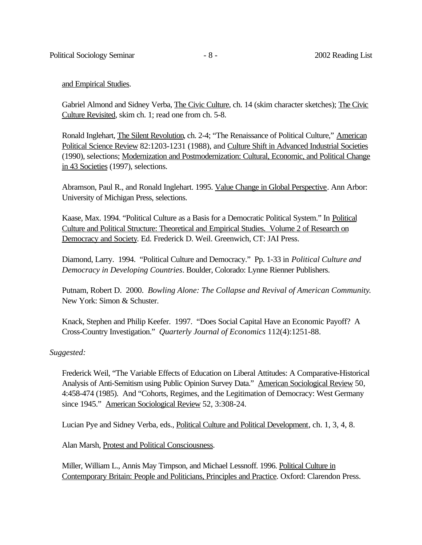## and Empirical Studies.

Gabriel Almond and Sidney Verba, The Civic Culture, ch. 14 (skim character sketches); The Civic Culture Revisited, skim ch. 1; read one from ch. 5-8.

Ronald Inglehart, The Silent Revolution, ch. 2-4; "The Renaissance of Political Culture," American Political Science Review 82:1203-1231 (1988), and Culture Shift in Advanced Industrial Societies (1990), selections; Modernization and Postmodernization: Cultural, Economic, and Political Change in 43 Societies (1997), selections.

Abramson, Paul R., and Ronald Inglehart. 1995. Value Change in Global Perspective. Ann Arbor: University of Michigan Press, selections.

Kaase, Max. 1994. "Political Culture as a Basis for a Democratic Political System." In Political Culture and Political Structure: Theoretical and Empirical Studies. Volume 2 of Research on Democracy and Society. Ed. Frederick D. Weil. Greenwich, CT: JAI Press.

Diamond, Larry. 1994. "Political Culture and Democracy." Pp. 1-33 in *Political Culture and Democracy in Developing Countries*. Boulder, Colorado: Lynne Rienner Publishers.

Putnam, Robert D. 2000. *Bowling Alone: The Collapse and Revival of American Community*. New York: Simon & Schuster.

Knack, Stephen and Philip Keefer. 1997. "Does Social Capital Have an Economic Payoff? A Cross-Country Investigation." *Quarterly Journal of Economics* 112(4):1251-88.

#### *Suggested:*

Frederick Weil, "The Variable Effects of Education on Liberal Attitudes: A Comparative-Historical Analysis of Anti-Semitism using Public Opinion Survey Data." American Sociological Review 50, 4:458-474 (1985). And "Cohorts, Regimes, and the Legitimation of Democracy: West Germany since 1945." American Sociological Review 52, 3:308-24.

Lucian Pye and Sidney Verba, eds., Political Culture and Political Development, ch. 1, 3, 4, 8.

Alan Marsh, Protest and Political Consciousness.

Miller, William L., Annis May Timpson, and Michael Lessnoff. 1996. Political Culture in Contemporary Britain: People and Politicians, Principles and Practice. Oxford: Clarendon Press.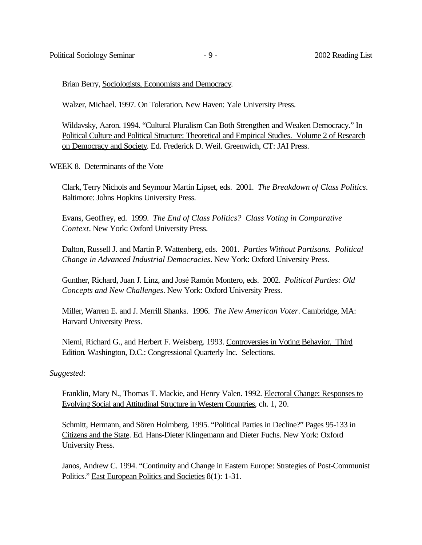Brian Berry, Sociologists, Economists and Democracy.

Walzer, Michael. 1997. On Toleration. New Haven: Yale University Press.

Wildavsky, Aaron. 1994. "Cultural Pluralism Can Both Strengthen and Weaken Democracy." In Political Culture and Political Structure: Theoretical and Empirical Studies. Volume 2 of Research on Democracy and Society. Ed. Frederick D. Weil. Greenwich, CT: JAI Press.

WEEK 8. Determinants of the Vote

Clark, Terry Nichols and Seymour Martin Lipset, eds. 2001. *The Breakdown of Class Politics*. Baltimore: Johns Hopkins University Press.

Evans, Geoffrey, ed. 1999. *The End of Class Politics? Class Voting in Comparative Context*. New York: Oxford University Press.

Dalton, Russell J. and Martin P. Wattenberg, eds. 2001. *Parties Without Partisans. Political Change in Advanced Industrial Democracies*. New York: Oxford University Press.

Gunther, Richard, Juan J. Linz, and José Ramón Montero, eds. 2002. *Political Parties: Old Concepts and New Challenges*. New York: Oxford University Press.

Miller, Warren E. and J. Merrill Shanks. 1996. *The New American Voter*. Cambridge, MA: Harvard University Press.

Niemi, Richard G., and Herbert F. Weisberg. 1993. Controversies in Voting Behavior. Third Edition. Washington, D.C.: Congressional Quarterly Inc. Selections.

## *Suggested*:

Franklin, Mary N., Thomas T. Mackie, and Henry Valen. 1992. Electoral Change: Responses to Evolving Social and Attitudinal Structure in Western Countries, ch. 1, 20.

Schmitt, Hermann, and Sören Holmberg. 1995. "Political Parties in Decline?" Pages 95-133 in Citizens and the State. Ed. Hans-Dieter Klingemann and Dieter Fuchs. New York: Oxford University Press.

Janos, Andrew C. 1994. "Continuity and Change in Eastern Europe: Strategies of Post-Communist Politics." East European Politics and Societies 8(1): 1-31.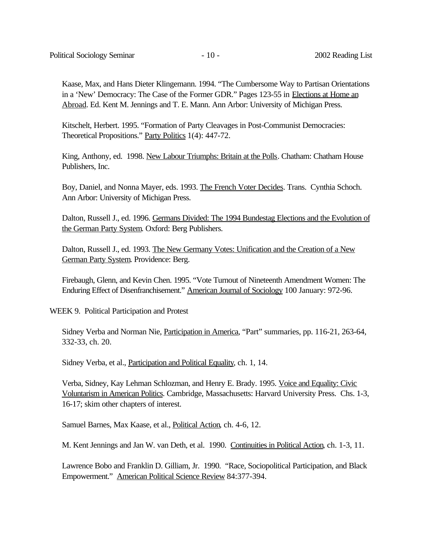Kaase, Max, and Hans Dieter Klingemann. 1994. "The Cumbersome Way to Partisan Orientations in a 'New' Democracy: The Case of the Former GDR." Pages 123-55 in Elections at Home an Abroad. Ed. Kent M. Jennings and T. E. Mann. Ann Arbor: University of Michigan Press.

Kitschelt, Herbert. 1995. "Formation of Party Cleavages in Post-Communist Democracies: Theoretical Propositions." Party Politics 1(4): 447-72.

King, Anthony, ed. 1998. New Labour Triumphs: Britain at the Polls. Chatham: Chatham House Publishers, Inc.

Boy, Daniel, and Nonna Mayer, eds. 1993. The French Voter Decides. Trans. Cynthia Schoch. Ann Arbor: University of Michigan Press.

Dalton, Russell J., ed. 1996. Germans Divided: The 1994 Bundestag Elections and the Evolution of the German Party System. Oxford: Berg Publishers.

Dalton, Russell J., ed. 1993. The New Germany Votes: Unification and the Creation of a New German Party System. Providence: Berg.

Firebaugh, Glenn, and Kevin Chen. 1995. "Vote Turnout of Nineteenth Amendment Women: The Enduring Effect of Disenfranchisement." American Journal of Sociology 100 January: 972-96.

WEEK 9. Political Participation and Protest

Sidney Verba and Norman Nie, Participation in America, "Part" summaries, pp. 116-21, 263-64, 332-33, ch. 20.

Sidney Verba, et al., Participation and Political Equality, ch. 1, 14.

Verba, Sidney, Kay Lehman Schlozman, and Henry E. Brady. 1995. Voice and Equality: Civic Voluntarism in American Politics. Cambridge, Massachusetts: Harvard University Press. Chs. 1-3, 16-17; skim other chapters of interest.

Samuel Barnes, Max Kaase, et al., Political Action, ch. 4-6, 12.

M. Kent Jennings and Jan W. van Deth, et al. 1990. Continuities in Political Action, ch. 1-3, 11.

Lawrence Bobo and Franklin D. Gilliam, Jr. 1990. "Race, Sociopolitical Participation, and Black Empowerment." American Political Science Review 84:377-394.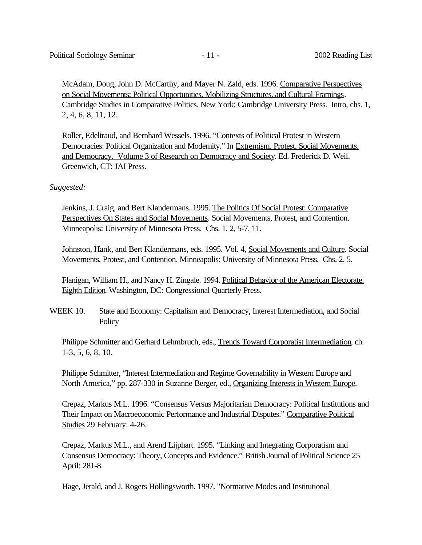McAdam, Doug, John D. McCarthy, and Mayer N. Zald, eds. 1996. Comparative Perspectives on Social Movements: Political Opportunities, Mobilizing Structures, and Cultural Framings. Cambridge Studies in Comparative Politics. New York: Cambridge University Press. Intro, chs. 1, 2, 4, 6, 8, 11, 12.

Roller, Edeltraud, and Bernhard Wessels. 1996. "Contexts of Political Protest in Western Democracies: Political Organization and Modernity." In Extremism, Protest, Social Movements, and Democracy. Volume 3 of Research on Democracy and Society. Ed. Frederick D. Weil. Greenwich, CT: JAI Press.

#### *Suggested:*

Jenkins, J. Craig, and Bert Klandermans. 1995. The Politics Of Social Protest: Comparative Perspectives On States and Social Movements. Social Movements, Protest, and Contention. Minneapolis: University of Minnesota Press. Chs. 1, 2, 5-7, 11.

Johnston, Hank, and Bert Klandermans, eds. 1995. Vol. 4, Social Movements and Culture. Social Movements, Protest, and Contention. Minneapolis: University of Minnesota Press. Chs. 2, 5.

Flanigan, William H., and Nancy H. Zingale. 1994. Political Behavior of the American Electorate. Eighth Edition. Washington, DC: Congressional Quarterly Press.

WEEK 10. State and Economy: Capitalism and Democracy, Interest Intermediation, and Social **Policy** 

Philippe Schmitter and Gerhard Lehmbruch, eds., Trends Toward Corporatist Intermediation, ch. 1-3, 5, 6, 8, 10.

Philippe Schmitter, "Interest Intermediation and Regime Governability in Western Europe and North America," pp. 287-330 in Suzanne Berger, ed., Organizing Interests in Western Europe.

Crepaz, Markus M.L. 1996. "Consensus Versus Majoritarian Democracy: Political Institutions and Their Impact on Macroeconomic Performance and Industrial Disputes." Comparative Political Studies 29 February: 4-26.

Crepaz, Markus M.L., and Arend Lijphart. 1995. "Linking and Integrating Corporatism and Consensus Democracy: Theory, Concepts and Evidence." British Journal of Political Science 25 April: 281-8.

Hage, Jerald, and J. Rogers Hollingsworth. 1997. "Normative Modes and Institutional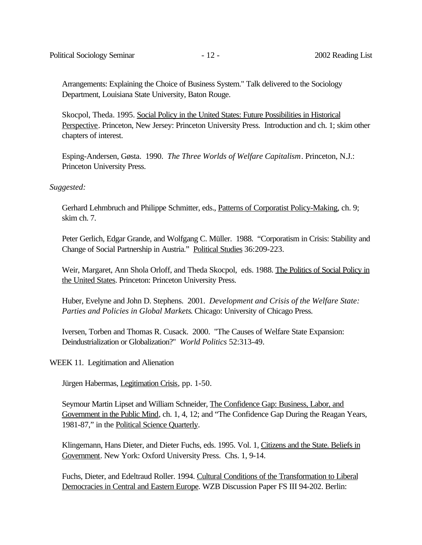Arrangements: Explaining the Choice of Business System." Talk delivered to the Sociology Department, Louisiana State University, Baton Rouge.

Skocpol, Theda. 1995. Social Policy in the United States: Future Possibilities in Historical Perspective. Princeton, New Jersey: Princeton University Press. Introduction and ch. 1; skim other chapters of interest.

Esping-Andersen, Gøsta. 1990. *The Three Worlds of Welfare Capitalism*. Princeton, N.J.: Princeton University Press.

## *Suggested:*

Gerhard Lehmbruch and Philippe Schmitter, eds., Patterns of Corporatist Policy-Making, ch. 9; skim ch. 7.

Peter Gerlich, Edgar Grande, and Wolfgang C. Müller. 1988. "Corporatism in Crisis: Stability and Change of Social Partnership in Austria." Political Studies 36:209-223.

Weir, Margaret, Ann Shola Orloff, and Theda Skocpol, eds. 1988. The Politics of Social Policy in the United States. Princeton: Princeton University Press.

Huber, Evelyne and John D. Stephens. 2001. *Development and Crisis of the Welfare State: Parties and Policies in Global Markets*. Chicago: University of Chicago Press.

Iversen, Torben and Thomas R. Cusack. 2000. "The Causes of Welfare State Expansion: Deindustrialization or Globalization?" *World Politics* 52:313-49.

WEEK 11. Legitimation and Alienation

Jürgen Habermas, Legitimation Crisis, pp. 1-50.

Seymour Martin Lipset and William Schneider, The Confidence Gap: Business, Labor, and Government in the Public Mind, ch. 1, 4, 12; and "The Confidence Gap During the Reagan Years, 1981-87," in the Political Science Quarterly.

Klingemann, Hans Dieter, and Dieter Fuchs, eds. 1995. Vol. 1, Citizens and the State. Beliefs in Government. New York: Oxford University Press. Chs. 1, 9-14.

Fuchs, Dieter, and Edeltraud Roller. 1994. Cultural Conditions of the Transformation to Liberal Democracies in Central and Eastern Europe. WZB Discussion Paper FS III 94-202. Berlin: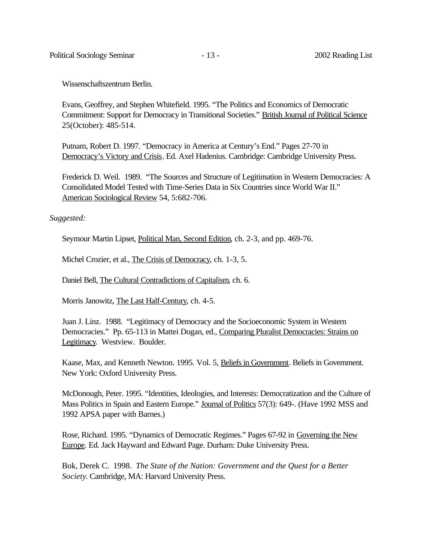Wissenschaftszentrum Berlin.

Evans, Geoffrey, and Stephen Whitefield. 1995. "The Politics and Economics of Democratic Commitment: Support for Democracy in Transitional Societies." British Journal of Political Science 25(October): 485-514.

Putnam, Robert D. 1997. "Democracy in America at Century's End." Pages 27-70 in Democracy's Victory and Crisis. Ed. Axel Hadenius. Cambridge: Cambridge University Press.

Frederick D. Weil. 1989. "The Sources and Structure of Legitimation in Western Democracies: A Consolidated Model Tested with Time-Series Data in Six Countries since World War II." American Sociological Review 54, 5:682-706.

*Suggested:*

Seymour Martin Lipset, Political Man, Second Edition, ch. 2-3, and pp. 469-76.

Michel Crozier, et al., The Crisis of Democracy, ch. 1-3, 5.

Daniel Bell, The Cultural Contradictions of Capitalism, ch. 6.

Morris Janowitz, The Last Half-Century, ch. 4-5.

Juan J. Linz. 1988. "Legitimacy of Democracy and the Socioeconomic System in Western Democracies." Pp. 65-113 in Mattei Dogan, ed., Comparing Pluralist Democracies: Strains on Legitimacy. Westview. Boulder.

Kaase, Max, and Kenneth Newton. 1995. Vol. 5, Beliefs in Government. Beliefs in Government. New York: Oxford University Press.

McDonough, Peter. 1995. "Identities, Ideologies, and Interests: Democratization and the Culture of Mass Politics in Spain and Eastern Europe." Journal of Politics 57(3): 649-. (Have 1992 MSS and 1992 APSA paper with Barnes.)

Rose, Richard. 1995. "Dynamics of Democratic Regimes." Pages 67-92 in Governing the New Europe. Ed. Jack Hayward and Edward Page. Durham: Duke University Press.

Bok, Derek C. 1998. *The State of the Nation: Government and the Quest for a Better Society*. Cambridge, MA: Harvard University Press.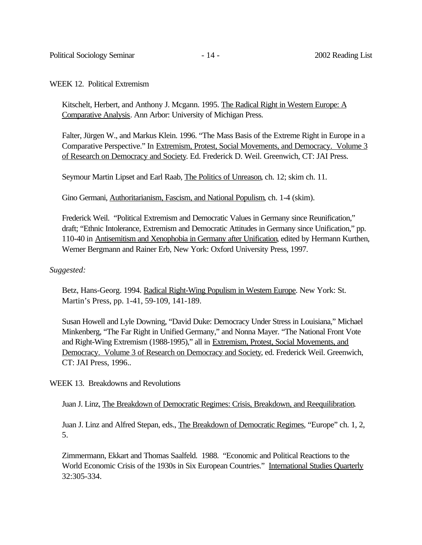#### WEEK 12. Political Extremism

Kitschelt, Herbert, and Anthony J. Mcgann. 1995. The Radical Right in Western Europe: A Comparative Analysis. Ann Arbor: University of Michigan Press.

Falter, Jürgen W., and Markus Klein. 1996. "The Mass Basis of the Extreme Right in Europe in a Comparative Perspective." In Extremism, Protest, Social Movements, and Democracy. Volume 3 of Research on Democracy and Society. Ed. Frederick D. Weil. Greenwich, CT: JAI Press.

Seymour Martin Lipset and Earl Raab, The Politics of Unreason, ch. 12; skim ch. 11.

Gino Germani, Authoritarianism, Fascism, and National Populism, ch. 1-4 (skim).

Frederick Weil. "Political Extremism and Democratic Values in Germany since Reunification," draft; "Ethnic Intolerance, Extremism and Democratic Attitudes in Germany since Unification," pp. 110-40 in Antisemitism and Xenophobia in Germany after Unification, edited by Hermann Kurthen, Werner Bergmann and Rainer Erb, New York: Oxford University Press, 1997.

## *Suggested:*

Betz, Hans-Georg. 1994. Radical Right-Wing Populism in Western Europe. New York: St. Martin's Press, pp. 1-41, 59-109, 141-189.

Susan Howell and Lyle Downing, "David Duke: Democracy Under Stress in Louisiana," Michael Minkenberg, "The Far Right in Unified Germany," and Nonna Mayer. "The National Front Vote and Right-Wing Extremism (1988-1995)," all in Extremism, Protest, Social Movements, and Democracy. Volume 3 of Research on Democracy and Society, ed. Frederick Weil. Greenwich, CT: JAI Press, 1996..

WEEK 13. Breakdowns and Revolutions

Juan J. Linz, The Breakdown of Democratic Regimes: Crisis, Breakdown, and Reequilibration.

Juan J. Linz and Alfred Stepan, eds., The Breakdown of Democratic Regimes, "Europe" ch. 1, 2, 5.

Zimmermann, Ekkart and Thomas Saalfeld. 1988. "Economic and Political Reactions to the World Economic Crisis of the 1930s in Six European Countries." International Studies Quarterly 32:305-334.